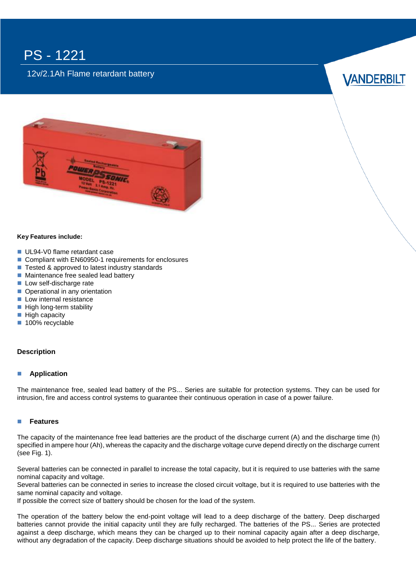## PS - 1221

## 12v/2.1Ah Flame retardant battery





### **Key Features include:**

- UL94-V0 flame retardant case
- Compliant with EN60950-1 requirements for enclosures
- Tested & approved to latest industry standards
- **Maintenance free sealed lead battery**
- Low self-discharge rate
- Operational in any orientation
- **Low internal resistance**
- $\blacksquare$  High long-term stability
- $\blacksquare$  High capacity
- 100% recyclable

### **Description**

### **Application**

The maintenance free, sealed lead battery of the PS... Series are suitable for protection systems. They can be used for intrusion, fire and access control systems to guarantee their continuous operation in case of a power failure.

### **Features**

The capacity of the maintenance free lead batteries are the product of the discharge current (A) and the discharge time (h) specified in ampere hour (Ah), whereas the capacity and the discharge voltage curve depend directly on the discharge current (see Fig. 1).

Several batteries can be connected in parallel to increase the total capacity, but it is required to use batteries with the same nominal capacity and voltage.

Several batteries can be connected in series to increase the closed circuit voltage, but it is required to use batteries with the same nominal capacity and voltage.

If possible the correct size of battery should be chosen for the load of the system.

The operation of the battery below the end-point voltage will lead to a deep discharge of the battery. Deep discharged batteries cannot provide the initial capacity until they are fully recharged. The batteries of the PS... Series are protected against a deep discharge, which means they can be charged up to their nominal capacity again after a deep discharge, without any degradation of the capacity. Deep discharge situations should be avoided to help protect the life of the battery.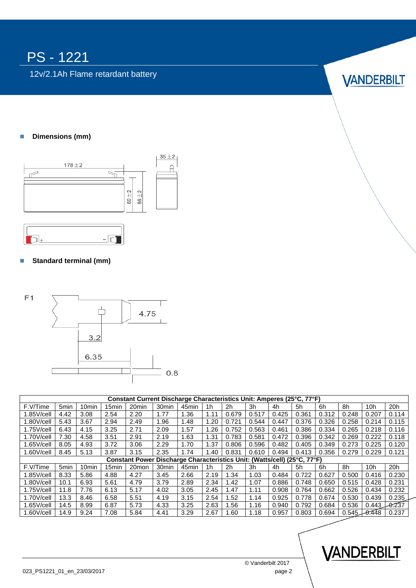# PS - 1221

12v/2.1Ah Flame retardant battery

# **VANDERBILT**

## **Dimensions (mm)**





## **Standard terminal (mm)**



| Constant Current Discharge Characteristics Unit: Amperes (25°C, 77°F)    |                  |                   |                   |                   |                   |                   |      |       |       |       |       |       |       |          |                 |
|--------------------------------------------------------------------------|------------------|-------------------|-------------------|-------------------|-------------------|-------------------|------|-------|-------|-------|-------|-------|-------|----------|-----------------|
| F.V/Time                                                                 | 5 <sub>min</sub> | 10 <sub>min</sub> | 15 <sub>min</sub> | 20 <sub>min</sub> | 30 <sub>min</sub> | 45 <sub>min</sub> | 1h   | 2h    | 3h    | 4h    | 5h    | 6h    | 8h    | 10h      | 20h             |
| $1.85$ V/cell                                                            | 4.42             | 3.08              | 2.54              | 2.20              | 1.77              | 1.36              | 1.11 | 0.679 | 0.517 | 0.425 | 0.361 | 0.312 | 0.248 | 0.207    | 0.114           |
| $1.80$ V/cell                                                            | 5.43             | 3.67              | 2.94              | 2.49              | 1.96              | 1.48              | 1.20 | 0.721 | 0.544 | 0.447 | 0.376 | 0.326 | 0.258 | 0.214    | 0.115           |
| $1.75$ V/cell                                                            | 6.43             | 4.15              | 3.25              | 2.71              | 2.09              | 1.57              | 1.26 | 0.752 | 0.563 | 0.461 | 0.386 | 0.334 | 0.265 | 0.218    | 0.116           |
| 1.70V/cell                                                               | 7.30             | 4.58              | 3.51              | 2.91              | 2.19              | 1.63              | 1.31 | 0.783 | 0.581 | 0.472 | 0.396 | 0.342 | 0.269 | 0.222    | 0.118           |
| $1.65$ V/cell                                                            | 8.05             | 4.93              | 3.72              | 3.06              | 2.29              | 1.70              | 1.37 | 0.806 | 0.596 | 0.482 | 0.405 | 0.349 | 0.273 | 0.225    | 0.120           |
| $1.60$ V/cell                                                            | 8.45             | 5.13              | 3.87              | 3.15              | 2.35              | 1.74              | 1.40 | 0.831 | 0.610 | 0.494 | 0.413 | 0.356 | 0.279 | 0.229    | 0.121           |
| Constant Power Discharge Characteristics Unit: (Watts/cell) (25°C, 77°F) |                  |                   |                   |                   |                   |                   |      |       |       |       |       |       |       |          |                 |
| F.V/Time                                                                 | 5 <sub>min</sub> | 10 <sub>min</sub> | 15 <sub>min</sub> | 20 <sub>mon</sub> | 30 <sub>min</sub> | 45 <sub>min</sub> | 1h   | 2h    | 3h    | 4h    | 5h    | 6h    | 8h    | 10h      | 20h             |
| $1.85$ V/cell                                                            | 8.33             | 5.86              | 4.88              | 4.27              | 3.45              | 2.66              | 2.19 | 1.34  | 1.03  | 0.484 | 0.722 | 0.627 | 0.500 | 0.416    | 0.230           |
| $1.80$ V/cell                                                            | 10.1             | 6.93              | 5.61              | 4.79              | 3.79              | 2.89              | 2.34 | 1.42  | 1.07  | 0.886 | 0.748 | 0.650 | 0.515 | 0.428    | 0.231           |
| $1.75$ V/cell                                                            | 11.8             | 7.76              | 6.13              | 5.17              | 4.02              | 3.05              | 2.45 | 1.47  | 1.11  | 0.908 | 0.764 | 0.662 | 0.526 | 0.434    | 0.232           |
| $1.70$ V/cell                                                            | 13.3             | 8.46              | 6.58              | 5.51              | 4.19              | 3.15              | 2.54 | 1.52  | 1.14  | 0.925 | 0.778 | 0.674 | 0.530 | 0.439    | 0.235           |
| $1.65$ V/cell                                                            | 14.5             | 8.99              | 6.87              | 5.73              | 4.33              | 3.25              | 2.63 | 1.56  | 1.16  | 0.940 | 0.792 | 0.684 | 0.536 |          | $0.443 - 0.237$ |
| $1.60$ V/cell                                                            | 14.9             | 9.24              | 7.08              | 5.84              | 4.41              | 3.29              | 2.67 | 1.60  | 1.18  | 0.957 | 0.803 | 0.694 | 0.545 | $-0.448$ | 0.237           |